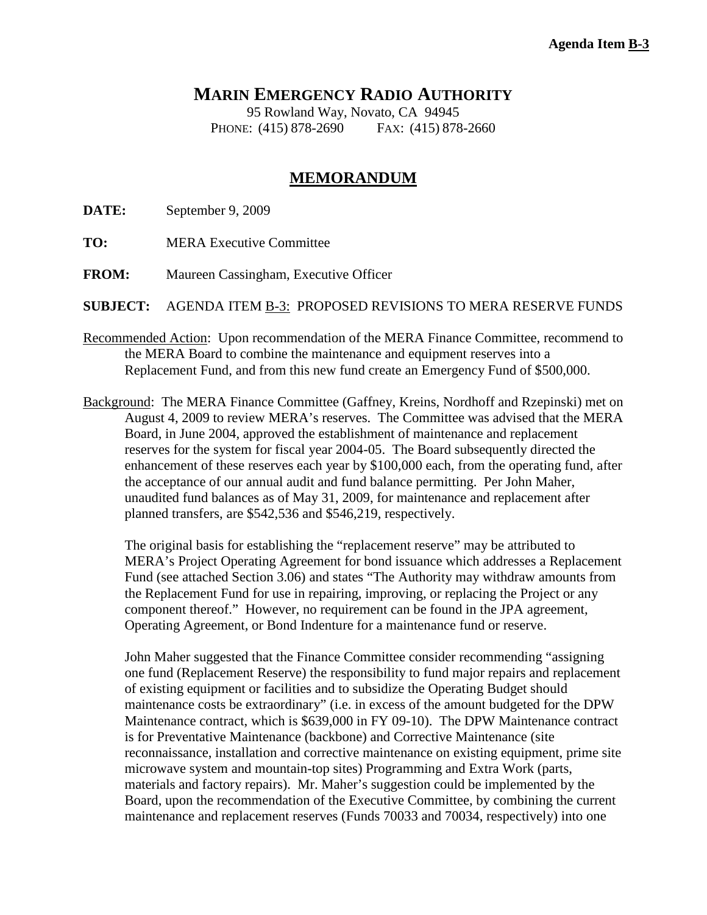## **MARIN EMERGENCY RADIO AUTHORITY**

95 Rowland Way, Novato, CA 94945 PHONE: (415) 878-2690 FAX: (415) 878-2660

## **MEMORANDUM**

**DATE:** September 9, 2009

- **TO:** MERA Executive Committee
- **FROM:** Maureen Cassingham, Executive Officer

**SUBJECT:** AGENDA ITEM B-3: PROPOSED REVISIONS TO MERA RESERVE FUNDS

- Recommended Action: Upon recommendation of the MERA Finance Committee, recommend to the MERA Board to combine the maintenance and equipment reserves into a Replacement Fund, and from this new fund create an Emergency Fund of \$500,000.
- Background: The MERA Finance Committee (Gaffney, Kreins, Nordhoff and Rzepinski) met on August 4, 2009 to review MERA's reserves. The Committee was advised that the MERA Board, in June 2004, approved the establishment of maintenance and replacement reserves for the system for fiscal year 2004-05. The Board subsequently directed the enhancement of these reserves each year by \$100,000 each, from the operating fund, after the acceptance of our annual audit and fund balance permitting. Per John Maher, unaudited fund balances as of May 31, 2009, for maintenance and replacement after planned transfers, are \$542,536 and \$546,219, respectively.

The original basis for establishing the "replacement reserve" may be attributed to MERA's Project Operating Agreement for bond issuance which addresses a Replacement Fund (see attached Section 3.06) and states "The Authority may withdraw amounts from the Replacement Fund for use in repairing, improving, or replacing the Project or any component thereof." However, no requirement can be found in the JPA agreement, Operating Agreement, or Bond Indenture for a maintenance fund or reserve.

John Maher suggested that the Finance Committee consider recommending "assigning one fund (Replacement Reserve) the responsibility to fund major repairs and replacement of existing equipment or facilities and to subsidize the Operating Budget should maintenance costs be extraordinary" (i.e. in excess of the amount budgeted for the DPW Maintenance contract, which is \$639,000 in FY 09-10). The DPW Maintenance contract is for Preventative Maintenance (backbone) and Corrective Maintenance (site reconnaissance, installation and corrective maintenance on existing equipment, prime site microwave system and mountain-top sites) Programming and Extra Work (parts, materials and factory repairs). Mr. Maher's suggestion could be implemented by the Board, upon the recommendation of the Executive Committee, by combining the current maintenance and replacement reserves (Funds 70033 and 70034, respectively) into one